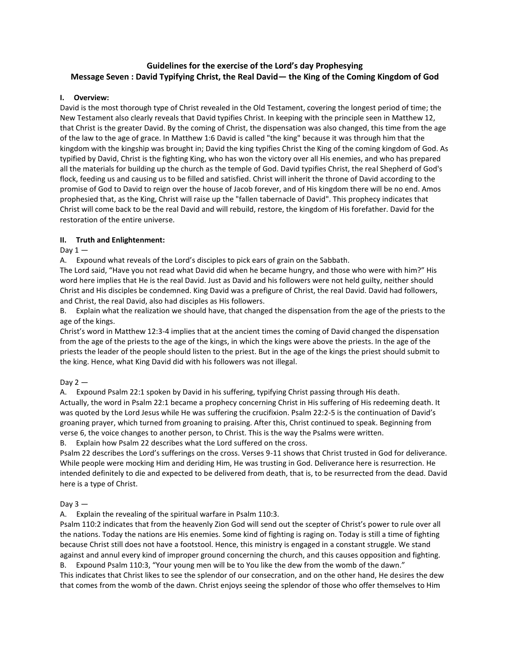# **Guidelines for the exercise of the Lord's day Prophesying Message Seven : David Typifying Christ, the Real David— the King of the Coming Kingdom of God**

#### **I. Overview:**

David is the most thorough type of Christ revealed in the Old Testament, covering the longest period of time; the New Testament also clearly reveals that David typifies Christ. In keeping with the principle seen in Matthew 12, that Christ is the greater David. By the coming of Christ, the dispensation was also changed, this time from the age of the law to the age of grace. In Matthew 1:6 David is called "the king" because it was through him that the kingdom with the kingship was brought in; David the king typifies Christ the King of the coming kingdom of God. As typified by David, Christ is the fighting King, who has won the victory over all His enemies, and who has prepared all the materials for building up the church as the temple of God. David typifies Christ, the real Shepherd of God's flock, feeding us and causing us to be filled and satisfied. Christ will inherit the throne of David according to the promise of God to David to reign over the house of Jacob forever, and of His kingdom there will be no end. Amos prophesied that, as the King, Christ will raise up the "fallen tabernacle of David". This prophecy indicates that Christ will come back to be the real David and will rebuild, restore, the kingdom of His forefather. David for the restoration of the entire universe.

#### **II. Truth and Enlightenment:**

Day  $1 -$ 

A. Expound what reveals of the Lord's disciples to pick ears of grain on the Sabbath.

The Lord said, "Have you not read what David did when he became hungry, and those who were with him?" His word here implies that He is the real David. Just as David and his followers were not held guilty, neither should Christ and His disciples be condemned. King David was a prefigure of Christ, the real David. David had followers, and Christ, the real David, also had disciples as His followers.

B. Explain what the realization we should have, that changed the dispensation from the age of the priests to the age of the kings.

Christ's word in Matthew 12:3-4 implies that at the ancient times the coming of David changed the dispensation from the age of the priests to the age of the kings, in which the kings were above the priests. In the age of the priests the leader of the people should listen to the priest. But in the age of the kings the priest should submit to the king. Hence, what King David did with his followers was not illegal.

## Day  $2 -$

A. Expound Psalm 22:1 spoken by David in his suffering, typifying Christ passing through His death. Actually, the word in Psalm 22:1 became a prophecy concerning Christ in His suffering of His redeeming death. It was quoted by the Lord Jesus while He was suffering the crucifixion. Psalm 22:2-5 is the continuation of David's groaning prayer, which turned from groaning to praising. After this, Christ continued to speak. Beginning from verse 6, the voice changes to another person, to Christ. This is the way the Psalms were written.

B. Explain how Psalm 22 describes what the Lord suffered on the cross.

Psalm 22 describes the Lord's sufferings on the cross. Verses 9-11 shows that Christ trusted in God for deliverance. While people were mocking Him and deriding Him, He was trusting in God. Deliverance here is resurrection. He intended definitely to die and expected to be delivered from death, that is, to be resurrected from the dead. David here is a type of Christ.

#### Day  $3 -$

A. Explain the revealing of the spiritual warfare in Psalm 110:3.

Psalm 110:2 indicates that from the heavenly Zion God will send out the scepter of Christ's power to rule over all the nations. Today the nations are His enemies. Some kind of fighting is raging on. Today is still a time of fighting because Christ still does not have a footstool. Hence, this ministry is engaged in a constant struggle. We stand against and annul every kind of improper ground concerning the church, and this causes opposition and fighting.

B. Expound Psalm 110:3, "Your young men will be to You like the dew from the womb of the dawn." This indicates that Christ likes to see the splendor of our consecration, and on the other hand, He desires the dew that comes from the womb of the dawn. Christ enjoys seeing the splendor of those who offer themselves to Him